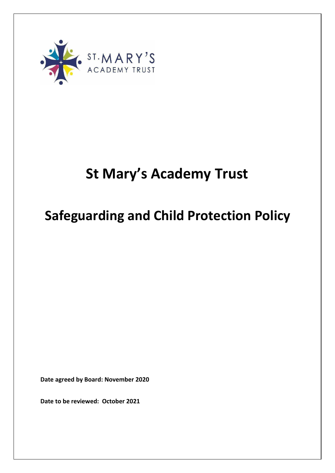

# **St Mary's Academy Trust**

# **Safeguarding and Child Protection Policy**

**Date agreed by Board: November 2020** 

**Date to be reviewed: October 2021**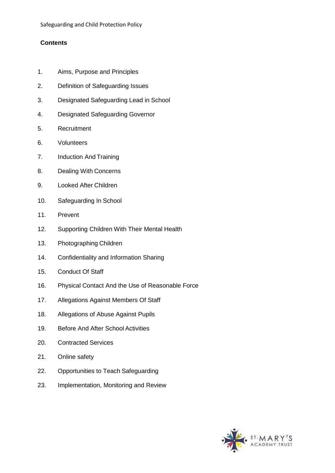# **Contents**

- 1. Aims, Purpose and Principles
- 2. Definition of Safeguarding Issues
- 3. Designated Safeguarding Lead in School
- 4. Designated Safeguarding Governor
- 5. Recruitment
- 6. Volunteers
- 7. Induction And Training
- 8. Dealing With Concerns
- 9. Looked After Children
- 10. Safeguarding In School
- 11. Prevent
- 12. Supporting Children With Their Mental Health
- 13. Photographing Children
- 14. Confidentiality and Information Sharing
- 15. Conduct Of Staff
- 16. Physical Contact And the Use of Reasonable Force
- 17. Allegations Against Members Of Staff
- 18. Allegations of Abuse Against Pupils
- 19. Before And After School Activities
- 20. Contracted Services
- 21. Online safety
- 22. Opportunities to Teach Safeguarding
- 23. Implementation, Monitoring and Review

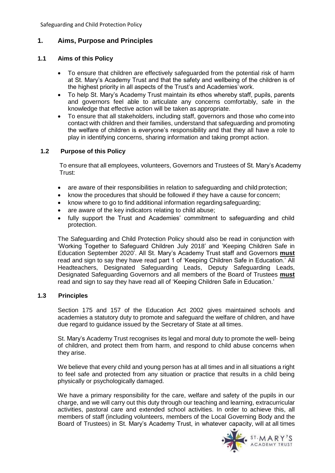# **1. Aims, Purpose and Principles**

# **1.1 Aims of this Policy**

- To ensure that children are effectively safeguarded from the potential risk of harm at St. Mary's Academy Trust and that the safety and wellbeing of the children is of the highest priority in all aspects of the Trust's and Academies'work.
- To help St. Mary's Academy Trust maintain its ethos whereby staff, pupils, parents and governors feel able to articulate any concerns comfortably, safe in the knowledge that effective action will be taken as appropriate.
- To ensure that all stakeholders, including staff, governors and those who comeinto contact with children and their families, understand that safeguarding and promoting the welfare of children is everyone's responsibility and that they all have a role to play in identifying concerns, sharing information and taking prompt action.

# **1.2 Purpose of this Policy**

To ensure that all employees, volunteers, Governors and Trustees of St. Mary's Academy Trust:

- are aware of their responsibilities in relation to safeguarding and child protection;
- know the procedures that should be followed if they have a cause for concern;
- know where to go to find additional information regarding safeguarding;
- are aware of the key indicators relating to child abuse;
- fully support the Trust and Academies' commitment to safeguarding and child protection.

The Safeguarding and Child Protection Policy should also be read in conjunction with 'Working Together to Safeguard Children July 2018' and 'Keeping Children Safe in Education September 2020'. All St. Mary's Academy Trust staff and Governors **must** read and sign to say they have read part 1 of 'Keeping Children Safe in Education.' All Headteachers, Designated Safeguarding Leads, Deputy Safeguarding Leads, Designated Safeguarding Governors and all members of the Board of Trustees **must** read and sign to say they have read all of 'Keeping Children Safe in Education.'

## **1.3 Principles**

Section 175 and 157 of the Education Act 2002 gives maintained schools and academies a statutory duty to promote and safeguard the welfare of children, and have due regard to guidance issued by the Secretary of State at all times.

St. Mary's Academy Trust recognises its legal and moral duty to promote the well- being of children, and protect them from harm, and respond to child abuse concerns when they arise.

We believe that every child and young person has at all times and in all situations a right to feel safe and protected from any situation or practice that results in a child being physically or psychologically damaged.

We have a primary responsibility for the care, welfare and safety of the pupils in our charge, and we will carry out this duty through our teaching and learning, extracurricular activities, pastoral care and extended school activities. In order to achieve this, all members of staff (including volunteers, members of the Local Governing Body and the Board of Trustees) in St. Mary's Academy Trust, in whatever capacity, will at all times

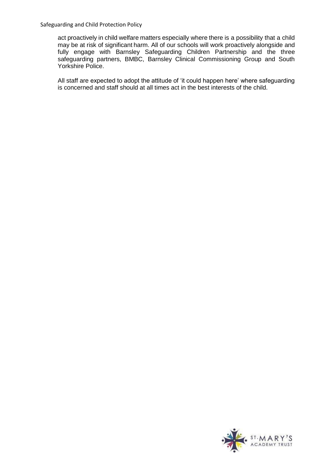act proactively in child welfare matters especially where there is a possibility that a child may be at risk of significant harm. All of our schools will work proactively alongside and fully engage with Barnsley Safeguarding Children Partnership and the three safeguarding partners, BMBC, Barnsley Clinical Commissioning Group and South Yorkshire Police.

All staff are expected to adopt the attitude of 'it could happen here' where safeguarding is concerned and staff should at all times act in the best interests of the child.

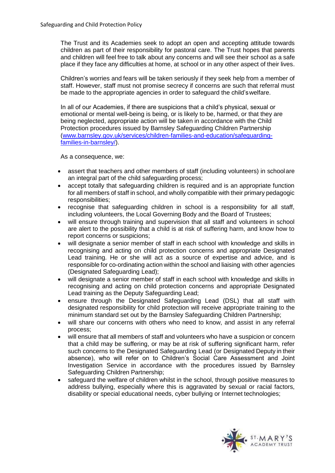The Trust and its Academies seek to adopt an open and accepting attitude towards children as part of their responsibility for pastoral care. The Trust hopes that parents and children will feel free to talk about any concerns and will see their school as a safe place if they face any difficulties at home, at school or in any other aspect of their lives.

Children's worries and fears will be taken seriously if they seek help from a member of staff. However, staff must not promise secrecy if concerns are such that referral must be made to the appropriate agencies in order to safeguard the child'swelfare.

In all of our Academies, if there are suspicions that a child's physical, sexual or emotional or mental well-being is being, or is likely to be, harmed, or that they are being neglected, appropriate action will be taken in accordance with the Child Protection procedures issued by Barnsley Safeguarding Children Partnership [\(www.barnsley.gov.uk/services/children-families-and-education/safeguarding](http://www.barnsley.gov.uk/services/children-families-and-education/safeguarding-families-in-barnsley/)[families-in-barnsley/\)](http://www.barnsley.gov.uk/services/children-families-and-education/safeguarding-families-in-barnsley/).

As a consequence, we:

- assert that teachers and other members of staff (including volunteers) in schoolare an integral part of the child safeguarding process;
- accept totally that safeguarding children is required and is an appropriate function for all members of staff in school, and wholly compatible with their primary pedagogic responsibilities;
- recognise that safeguarding children in school is a responsibility for all staff, including volunteers, the Local Governing Body and the Board of Trustees;
- will ensure through training and supervision that all staff and volunteers in school are alert to the possibility that a child is at risk of suffering harm, and know how to report concerns or suspicions;
- will designate a senior member of staff in each school with knowledge and skills in recognising and acting on child protection concerns and appropriate Designated Lead training. He or she will act as a source of expertise and advice, and is responsible for co-ordinating action within the school and liaising with other agencies (Designated Safeguarding Lead);
- will designate a senior member of staff in each school with knowledge and skills in recognising and acting on child protection concerns and appropriate Designated Lead training as the Deputy Safeguarding Lead;
- ensure through the Designated Safeguarding Lead (DSL) that all staff with designated responsibility for child protection will receive appropriate training to the minimum standard set out by the Barnsley Safeguarding Children Partnership;
- will share our concerns with others who need to know, and assist in any referral process;
- will ensure that all members of staff and volunteers who have a suspicion or concern that a child may be suffering, or may be at risk of suffering significant harm, refer such concerns to the Designated Safeguarding Lead (or Designated Deputy in their absence), who will refer on to Children's Social Care Assessment and Joint Investigation Service in accordance with the procedures issued by Barnsley Safeguarding Children Partnership;
- safeguard the welfare of children whilst in the school, through positive measures to address bullying, especially where this is aggravated by sexual or racial factors, disability or special educational needs, cyber bullying or Internet technologies;

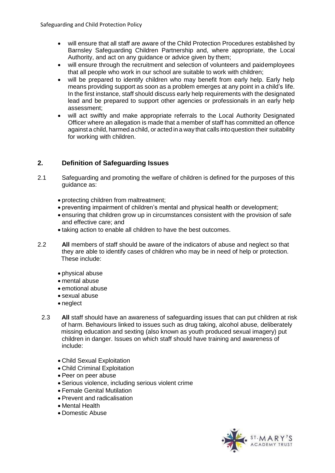- will ensure that all staff are aware of the Child Protection Procedures established by Barnsley Safeguarding Children Partnership and, where appropriate, the Local Authority, and act on any guidance or advice given by them;
- will ensure through the recruitment and selection of volunteers and paidemployees that all people who work in our school are suitable to work with children;
- will be prepared to identify children who may benefit from early help. Early help means providing support as soon as a problem emerges at any point in a child's life. In the first instance, staff should discuss early help requirements with the designated lead and be prepared to support other agencies or professionals in an early help assessment;
- will act swiftly and make appropriate referrals to the Local Authority Designated Officer where an allegation is made that a member of staff has committed an offence against a child, harmed a child, or acted in a way that calls intoquestion their suitability for working with children.

# **2. Definition of Safeguarding Issues**

- 2.1 Safeguarding and promoting the welfare of children is defined for the purposes of this guidance as:
	- protecting children from maltreatment;
	- preventing impairment of children's mental and physical health or development;
	- ensuring that children grow up in circumstances consistent with the provision of safe and effective care; and
	- taking action to enable all children to have the best outcomes.
- 2.2 **All** members of staff should be aware of the indicators of abuse and neglect so that they are able to identify cases of children who may be in need of help or protection. These include:
	- physical abuse
	- mental abuse
	- emotional abuse
	- sexual abuse
	- neglect
- 2.3 **All** staff should have an awareness of safeguarding issues that can put children at risk of harm. Behaviours linked to issues such as drug taking, alcohol abuse, deliberately missing education and sexting (also known as youth produced sexual imagery) put children in danger. Issues on which staff should have training and awareness of include:
	- Child Sexual Exploitation
	- Child Criminal Exploitation
	- Peer on peer abuse
	- Serious violence, including serious violent crime
	- Female Genital Mutilation
	- Prevent and radicalisation
	- Mental Health
	- Domestic Abuse

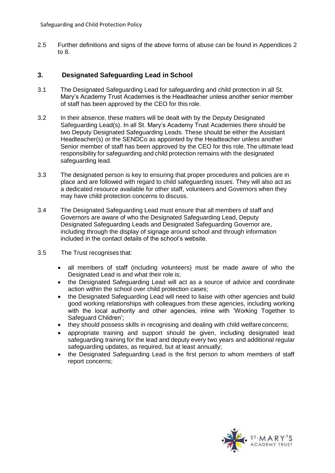2.5 Further definitions and signs of the above forms of abuse can be found in Appendices 2 to 8.

# **3. Designated Safeguarding Lead in School**

- 3.1 The Designated Safeguarding Lead for safeguarding and child protection in all St. Mary's Academy Trust Academies is the Headteacher unless another senior member of staff has been approved by the CEO for this role.
- 3.2 In their absence, these matters will be dealt with by the Deputy Designated Safeguarding Lead(s). In all St. Mary's Academy Trust Academies there should be two Deputy Designated Safeguarding Leads. These should be either the Assistant Headteacher(s) or the SENDCo as appointed by the Headteacher unless another Senior member of staff has been approved by the CEO for this role. The ultimate lead responsibility for safeguarding and child protection remains with the designated safeguarding lead.
- 3.3 The designated person is key to ensuring that proper procedures and policies are in place and are followed with regard to child safeguarding issues. They will also act as a dedicated resource available for other staff, volunteers and Governors when they may have child protection concerns to discuss.
- 3.4 The Designated Safeguarding Lead must ensure that all members of staff and Governors are aware of who the Designated Safeguarding Lead, Deputy Designated Safeguarding Leads and Designated Safeguarding Governor are, including through the display of signage around school and through information included in the contact details of the school's website.
- 3.5 The Trust recognises that:
	- all members of staff (including volunteers) must be made aware of who the Designated Lead is and what their role is;
	- the Designated Safeguarding Lead will act as a source of advice and coordinate action within the school over child protection cases;
	- the Designated Safeguarding Lead will need to liaise with other agencies and build good working relationships with colleagues from these agencies, including working with the local authority and other agencies, inline with 'Working Together to Safeguard Children';
	- they should possess skills in recognising and dealing with child welfareconcerns;
	- appropriate training and support should be given, including designated lead safeguarding training for the lead and deputy every two years and additional regular safeguarding updates, as required, but at least annually;
	- the Designated Safeguarding Lead is the first person to whom members of staff report concerns;

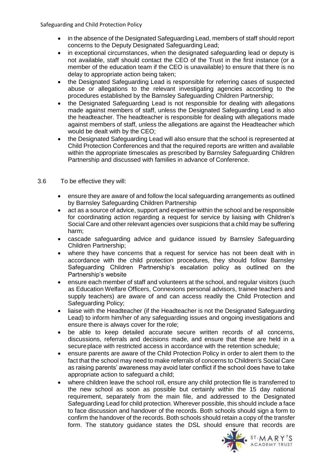- in the absence of the Designated Safeguarding Lead, members of staff should report concerns to the Deputy Designated Safeguarding Lead;
- in exceptional circumstances, when the designated safeguarding lead or deputy is not available, staff should contact the CEO of the Trust in the first instance (or a member of the education team if the CEO is unavailable) to ensure that there is no delay to appropriate action being taken;
- the Designated Safeguarding Lead is responsible for referring cases of suspected abuse or allegations to the relevant investigating agencies according to the procedures established by the Barnsley Safeguarding Children Partnership;
- the Designated Safeguarding Lead is not responsible for dealing with allegations made against members of staff, unless the Designated Safeguarding Lead is also the headteacher. The headteacher is responsible for dealing with allegations made against members of staff, unless the allegations are against the Headteacher which would be dealt with by the CEO;
- the Designated Safeguarding Lead will also ensure that the school is represented at Child Protection Conferences and that the required reports are written and available within the appropriate timescales as prescribed by Barnsley Safeguarding Children Partnership and discussed with families in advance of Conference.
- 3.6 To be effective they will:
	- ensure they are aware of and follow the local safeguarding arrangements as outlined by Barnsley Safeguarding Children Partnership
	- act as a source of advice, support and expertise within the school and be responsible for coordinating action regarding a request for service by liaising with Children's Social Care and other relevant agencies over suspicions that a child may be suffering harm;
	- cascade safeguarding advice and guidance issued by Barnsley Safeguarding Children Partnership;
	- where they have concerns that a request for service has not been dealt with in accordance with the child protection procedures, they should follow Barnsley Safeguarding Children Partnership's escalation policy as outlined on the Partnership's website
	- ensure each member of staff and volunteers at the school, and regular visitors (such as Education Welfare Officers, Connexions personal advisors, trainee teachers and supply teachers) are aware of and can access readily the Child Protection and Safeguarding Policy;
	- liaise with the Headteacher (if the Headteacher is not the Designated Safeguarding Lead) to inform him/her of any safeguarding issues and ongoing investigations and ensure there is always cover for the role;
	- be able to keep detailed accurate secure written records of all concerns, discussions, referrals and decisions made, and ensure that these are held in a secureplace with restricted access in accordance with the retention schedule;
	- ensure parents are aware of the Child Protection Policy in order to alert them to the fact that the school may need to make referrals of concerns to Children's Social Care as raising parents' awareness may avoid later conflict if the school does have to take appropriate action to safeguard a child;
	- where children leave the school roll, ensure any child protection file is transferred to the new school as soon as possible but certainly within the 15 day national requirement, separately from the main file, and addressed to the Designated Safeguarding Lead for child protection. Wherever possible, this should include a face to face discussion and handover of the records. Both schools should sign a form to confirm the handover of the records. Both schools should retain a copy of the transfer form. The statutory guidance states the DSL should ensure that records are

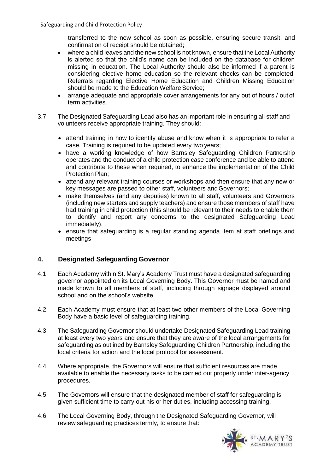transferred to the new school as soon as possible, ensuring secure transit, and confirmation of receipt should be obtained;

- where a child leaves and the new school is not known, ensure that the Local Authority is alerted so that the child's name can be included on the database for children missing in education. The Local Authority should also be informed if a parent is considering elective home education so the relevant checks can be completed. Referrals regarding Elective Home Education and Children Missing Education should be made to the Education Welfare Service;
- arrange adequate and appropriate cover arrangements for any out of hours / out of term activities.
- 3.7 The Designated Safeguarding Lead also has an important role in ensuring all staff and volunteers receive appropriate training. They should:
	- attend training in how to identify abuse and know when it is appropriate to refer a case. Training is required to be updated every two years;
	- have a working knowledge of how Barnsley Safeguarding Children Partnership operates and the conduct of a child protection case conference and be able to attend and contribute to these when required, to enhance the implementation of the Child Protection Plan;
	- attend any relevant training courses or workshops and then ensure that any new or key messages are passed to other staff, volunteers andGovernors;
	- make themselves (and any deputies) known to all staff, volunteers and Governors (including new starters and supply teachers) and ensure those members of staff have had training in child protection (this should be relevant to their needs to enable them to identify and report any concerns to the designated Safeguarding Lead immediately).
	- ensure that safeguarding is a regular standing agenda item at staff briefings and meetings

# **4. Designated Safeguarding Governor**

- 4.1 Each Academy within St. Mary's Academy Trust must have a designated safeguarding governor appointed on its Local Governing Body. This Governor must be named and made known to all members of staff, including through signage displayed around school and on the school's website.
- 4.2 Each Academy must ensure that at least two other members of the Local Governing Body have a basic level of safeguarding training.
- 4.3 The Safeguarding Governor should undertake Designated Safeguarding Lead training at least every two years and ensure that they are aware of the local arrangements for safeguarding as outlined by Barnsley Safeguarding Children Partnership, including the local criteria for action and the local protocol for assessment.
- 4.4 Where appropriate, the Governors will ensure that sufficient resources are made available to enable the necessary tasks to be carried out properly under inter-agency procedures.
- 4.5 The Governors will ensure that the designated member of staff for safeguarding is given sufficient time to carry out his or her duties, including accessing training.
- 4.6 The Local Governing Body, through the Designated Safeguarding Governor, will review safeguarding practices termly, to ensure that:

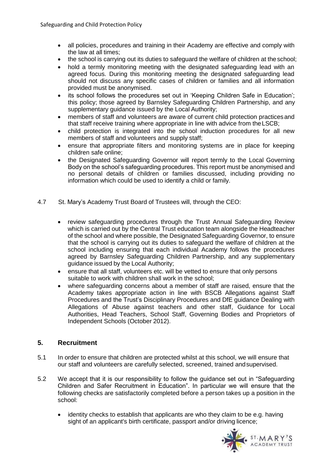- all policies, procedures and training in their Academy are effective and comply with the law at all times;
- the school is carrying out its duties to safeguard the welfare of children at the school;
- hold a termly monitoring meeting with the designated safeguarding lead with an agreed focus. During this monitoring meeting the designated safeguarding lead should not discuss any specific cases of children or families and all information provided must be anonymised.
- its school follows the procedures set out in 'Keeping Children Safe in Education'; this policy; those agreed by Barnsley Safeguarding Children Partnership, and any supplementary guidance issued by the Local Authority;
- members of staff and volunteers are aware of current child protection practicesand that staff receive training where appropriate in line with advice from theLSCB;
- child protection is integrated into the school induction procedures for all new members of staff and volunteers and supply staff;
- ensure that appropriate filters and monitoring systems are in place for keeping children safe online;
- the Designated Safeguarding Governor will report termly to the Local Governing Body on the school's safeguarding procedures. This report must be anonymised and no personal details of children or families discussed, including providing no information which could be used to identify a child or family.
- 4.7 St. Mary's Academy Trust Board of Trustees will, through the CEO:
	- review safeguarding procedures through the Trust Annual Safeguarding Review which is carried out by the Central Trust education team alongside the Headteacher of the school and where possible, the Designated Safeguarding Governor, to ensure that the school is carrying out its duties to safeguard the welfare of children at the school including ensuring that each individual Academy follows the procedures agreed by Barnsley Safeguarding Children Partnership, and any supplementary guidance issued by the Local Authority;
	- ensure that all staff, volunteers etc. will be vetted to ensure that only persons suitable to work with children shall work in the school;
	- where safeguarding concerns about a member of staff are raised, ensure that the Academy takes appropriate action in line with BSCB Allegations against Staff Procedures and the Trust's Disciplinary Procedures and DfE guidance Dealing with Allegations of Abuse against teachers and other staff, Guidance for Local Authorities, Head Teachers, School Staff, Governing Bodies and Proprietors of Independent Schools (October 2012).

# **5. Recruitment**

- 5.1 In order to ensure that children are protected whilst at this school, we will ensure that our staff and volunteers are carefully selected, screened, trained andsupervised.
- 5.2 We accept that it is our responsibility to follow the guidance set out in "Safeguarding Children and Safer Recruitment in Education". In particular we will ensure that the following checks are satisfactorily completed before a person takes up a position in the school:
	- identity checks to establish that applicants are who they claim to be e.g. having sight of an applicant's birth certificate, passport and/or driving licence;

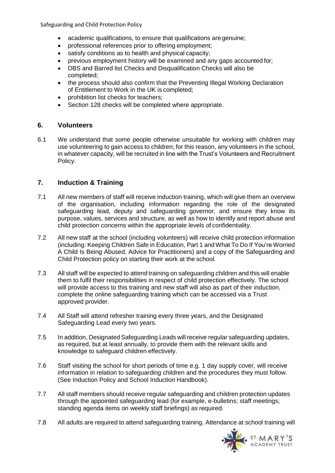- academic qualifications, to ensure that qualifications aregenuine;
- professional references prior to offering employment;
- satisfy conditions as to health and physical capacity;
- previous employment history will be examined and any gaps accounted for;
- DBS and Barred list Checks and Disqualification Checks will also be completed;
- the process should also confirm that the Preventing Illegal Working Declaration of Entitlement to Work in the UK is completed;
- prohibition list checks for teachers;
- Section 128 checks will be completed where appropriate.

# **6. Volunteers**

6.1 We understand that some people otherwise unsuitable for working with children may use volunteering to gain access to children; for this reason, any volunteers in the school, in whatever capacity, will be recruited in line with the Trust's Volunteers and Recruitment Policy.

# **7. Induction & Training**

- 7.1 All new members of staff will receive induction training, which will give them an overview of the organisation, including information regarding the role of the designated safeguarding lead, deputy and safeguarding governor, and ensure they know its purpose, values, services and structure, as well as how to identify and report abuse and child protection concerns within the appropriate levels of confidentiality.
- 7.2 All new staff at the school (including volunteers) will receive child protection information (including: Keeping Children Safe in Education, Part 1 and What To Do If You're Worried A Child Is Being Abused, Advice for Practitioners) and a copy of the Safeguarding and Child Protection policy on starting their work at the school.
- 7.3 All staff will be expected to attend training on safeguarding children and this will enable them to fulfil their responsibilities in respect of child protection effectively. The school will provide access to this training and new staff will also as part of their induction, complete the online safeguarding training which can be accessed via a Trust approved provider.
- 7.4 All Staff will attend refresher training every three years, and the Designated Safeguarding Lead every two years.
- 7.5 In addition, Designated Safeguarding Leads will receive regular safeguarding updates, as required, but at least annually, to provide them with the relevant skills and knowledge to safeguard children effectively.
- 7.6 Staff visiting the school for short periods of time e.g. 1 day supply cover, will receive information in relation to safeguarding children and the procedures they must follow. (See Induction Policy and School Induction Handbook).
- 7.7 All staff members should receive regular safeguarding and children protection updates through the appointed safeguarding lead (for example, e-bulletins; staff meetings; standing agenda items on weekly staff briefings) as required.
- 7.8 All adults are required to attend safeguarding training. Attendance at school training will

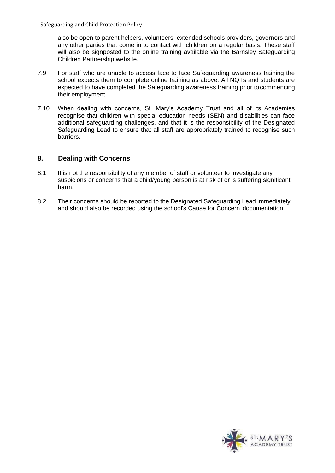also be open to parent helpers, volunteers, extended schools providers, governors and any other parties that come in to contact with children on a regular basis. These staff will also be signposted to the online training available via the Barnsley Safeguarding Children Partnership website.

- 7.9 For staff who are unable to access face to face Safeguarding awareness training the school expects them to complete online training as above. All NQTs and students are expected to have completed the Safeguarding awareness training prior tocommencing their employment.
- 7.10 When dealing with concerns, St. Mary's Academy Trust and all of its Academies recognise that children with special education needs (SEN) and disabilities can face additional safeguarding challenges, and that it is the responsibility of the Designated Safeguarding Lead to ensure that all staff are appropriately trained to recognise such barriers.

# **8. Dealing with Concerns**

- 8.1 It is not the responsibility of any member of staff or volunteer to investigate any suspicions or concerns that a child/young person is at risk of or is suffering significant harm.
- 8.2 Their concerns should be reported to the Designated Safeguarding Lead immediately and should also be recorded using the school's Cause for Concern documentation.

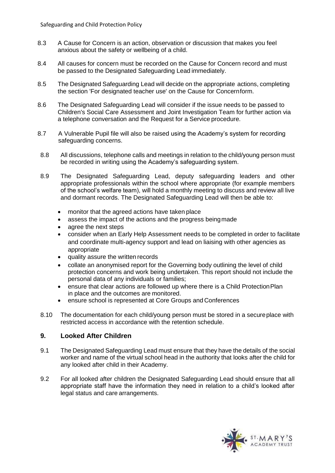- 8.3 A Cause for Concern is an action, observation or discussion that makes you feel anxious about the safety or wellbeing of a child.
- 8.4 All causes for concern must be recorded on the Cause for Concern record and must be passed to the Designated Safeguarding Lead immediately.
- 8.5 The Designated Safeguarding Lead will decide on the appropriate actions, completing the section 'For designated teacher use' on the Cause for Concernform.
- 8.6 The Designated Safeguarding Lead will consider if the issue needs to be passed to Children's Social Care Assessment and Joint Investigation Team for further action via a telephone conversation and the Request for a Service procedure.
- 8.7 A Vulnerable Pupil file will also be raised using the Academy's system for recording safeguarding concerns.
- 8.8 All discussions, telephone calls and meetings in relation to the child/young person must be recorded in writing using the Academy's safeguarding system.
- 8.9 The Designated Safeguarding Lead, deputy safeguarding leaders and other appropriate professionals within the school where appropriate (for example members of the school's welfare team), will hold a monthly meeting to discuss and review all live and dormant records. The Designated Safeguarding Lead will then be able to:
	- monitor that the agreed actions have taken place
	- assess the impact of the actions and the progress being made
	- agree the next steps
	- consider when an Early Help Assessment needs to be completed in order to facilitate and coordinate multi-agency support and lead on liaising with other agencies as appropriate
	- quality assure the written records
	- collate an anonymised report for the Governing body outlining the level of child protection concerns and work being undertaken. This report should not include the personal data of any individuals or families;
	- ensure that clear actions are followed up where there is a Child ProtectionPlan in place and the outcomes are monitored.
	- ensure school is represented at Core Groups and Conferences
- 8.10 The documentation for each child/young person must be stored in a secureplace with restricted access in accordance with the retention schedule.

## **9. Looked After Children**

- 9.1 The Designated Safeguarding Lead must ensure that they have the details of the social worker and name of the virtual school head in the authority that looks after the child for any looked after child in their Academy.
- 9.2 For all looked after children the Designated Safeguarding Lead should ensure that all appropriate staff have the information they need in relation to a child's looked after legal status and care arrangements.

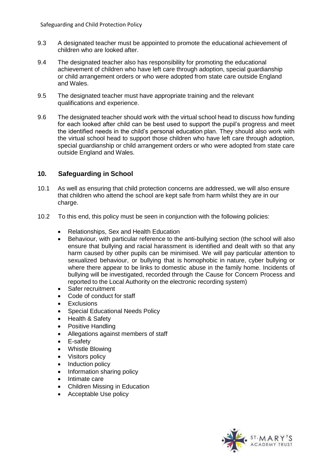- 9.3 A designated teacher must be appointed to promote the educational achievement of children who are looked after.
- 9.4 The designated teacher also has responsibility for promoting the educational achievement of children who have left care through adoption, special guardianship or child arrangement orders or who were adopted from state care outside England and Wales.
- 9.5 The designated teacher must have appropriate training and the relevant qualifications and experience.
- 9.6 The designated teacher should work with the virtual school head to discuss how funding for each looked after child can be best used to support the pupil's progress and meet the identified needs in the child's personal education plan. They should also work with the virtual school head to support those children who have left care through adoption, special guardianship or child arrangement orders or who were adopted from state care outside England and Wales.

# **10. Safeguarding in School**

- 10.1 As well as ensuring that child protection concerns are addressed, we will also ensure that children who attend the school are kept safe from harm whilst they are in our charge.
- 10.2 To this end, this policy must be seen in conjunction with the following policies:
	- Relationships, Sex and Health Education
	- Behaviour, with particular reference to the anti-bullying section (the school will also ensure that bullying and racial harassment is identified and dealt with so that any harm caused by other pupils can be minimised. We will pay particular attention to sexualized behaviour, or bullying that is homophobic in nature, cyber bullying or where there appear to be links to domestic abuse in the family home. Incidents of bullying will be investigated, recorded through the Cause for Concern Process and reported to the Local Authority on the electronic recording system)
	- Safer recruitment
	- Code of conduct for staff
	- Exclusions
	- Special Educational Needs Policy
	- Health & Safety
	- Positive Handling
	- Allegations against members of staff
	- E-safety
	- Whistle Blowing
	- Visitors policy
	- Induction policy
	- Information sharing policy
	- Intimate care
	- Children Missing in Education
	- Acceptable Use policy

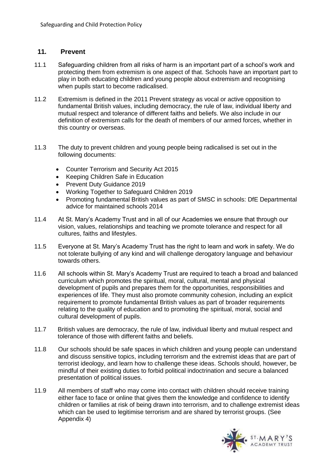## **11. Prevent**

- 11.1 Safeguarding children from all risks of harm is an important part of a school's work and protecting them from extremism is one aspect of that. Schools have an important part to play in both educating children and young people about extremism and recognising when pupils start to become radicalised.
- 11.2 Extremism is defined in the 2011 Prevent strategy as vocal or active opposition to fundamental British values, including democracy, the rule of law, individual liberty and mutual respect and tolerance of different faiths and beliefs. We also include in our definition of extremism calls for the death of members of our armed forces, whether in this country or overseas.
- 11.3 The duty to prevent children and young people being radicalised is set out in the following documents:
	- Counter Terrorism and Security Act 2015
	- Keeping Children Safe in Education
	- Prevent Duty Guidance 2019
	- Working Together to Safeguard Children 2019
	- Promoting fundamental British values as part of SMSC in schools: DfE Departmental advice for maintained schools 2014
- 11.4 At St. Mary's Academy Trust and in all of our Academies we ensure that through our vision, values, relationships and teaching we promote tolerance and respect for all cultures, faiths and lifestyles.
- 11.5 Everyone at St. Mary's Academy Trust has the right to learn and work in safety. We do not tolerate bullying of any kind and will challenge derogatory language and behaviour towards others.
- 11.6 All schools within St. Mary's Academy Trust are required to teach a broad and balanced curriculum which promotes the spiritual, moral, cultural, mental and physical development of pupils and prepares them for the opportunities, responsibilities and experiences of life. They must also promote community cohesion, including an explicit requirement to promote fundamental British values as part of broader requirements relating to the quality of education and to promoting the spiritual, moral, social and cultural development of pupils.
- 11.7 British values are democracy, the rule of law, individual liberty and mutual respect and tolerance of those with different faiths and beliefs.
- 11.8 Our schools should be safe spaces in which children and young people can understand and discuss sensitive topics, including terrorism and the extremist ideas that are part of terrorist ideology, and learn how to challenge these ideas. Schools should, however, be mindful of their existing duties to forbid political indoctrination and secure a balanced presentation of political issues.
- 11.9 All members of staff who may come into contact with children should receive training either face to face or online that gives them the knowledge and confidence to identify children or families at risk of being drawn into terrorism, and to challenge extremist ideas which can be used to legitimise terrorism and are shared by terrorist groups. (See Appendix 4)

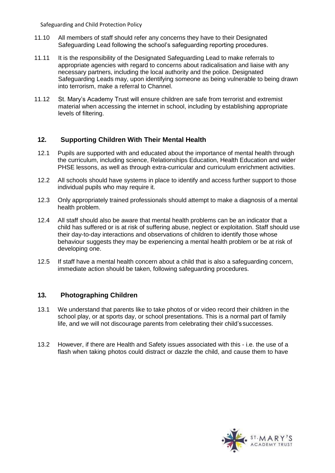- 11.10 All members of staff should refer any concerns they have to their Designated Safeguarding Lead following the school's safeguarding reporting procedures.
- 11.11 It is the responsibility of the Designated Safeguarding Lead to make referrals to appropriate agencies with regard to concerns about radicalisation and liaise with any necessary partners, including the local authority and the police. Designated Safeguarding Leads may, upon identifying someone as being vulnerable to being drawn into terrorism, make a referral to Channel.
- 11.12 St. Mary's Academy Trust will ensure children are safe from terrorist and extremist material when accessing the internet in school, including by establishing appropriate levels of filtering.

# **12. Supporting Children With Their Mental Health**

- 12.1 Pupils are supported with and educated about the importance of mental health through the curriculum, including science, Relationships Education, Health Education and wider PHSE lessons, as well as through extra-curricular and curriculum enrichment activities.
- 12.2 All schools should have systems in place to identify and access further support to those individual pupils who may require it.
- 12.3 Only appropriately trained professionals should attempt to make a diagnosis of a mental health problem.
- 12.4 All staff should also be aware that mental health problems can be an indicator that a child has suffered or is at risk of suffering abuse, neglect or exploitation. Staff should use their day-to-day interactions and observations of children to identify those whose behaviour suggests they may be experiencing a mental health problem or be at risk of developing one.
- 12.5 If staff have a mental health concern about a child that is also a safeguarding concern, immediate action should be taken, following safeguarding procedures.

# **13. Photographing Children**

- 13.1 We understand that parents like to take photos of or video record their children in the school play, or at sports day, or school presentations. This is a normal part of family life, and we will not discourage parents from celebrating their child's successes.
- 13.2 However, if there are Health and Safety issues associated with this i.e. the use of a flash when taking photos could distract or dazzle the child, and cause them to have

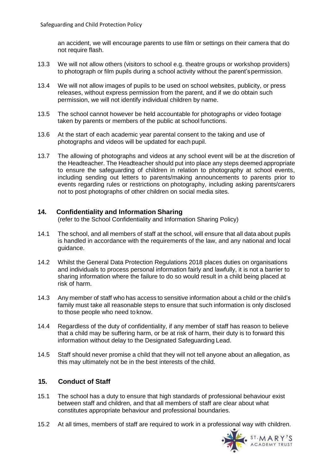an accident, we will encourage parents to use film or settings on their camera that do not require flash.

- 13.3 We will not allow others (visitors to school e.g. theatre groups or workshop providers) to photograph or film pupils during a school activity without the parent'spermission.
- 13.4 We will not allow images of pupils to be used on school websites, publicity, or press releases, without express permission from the parent, and if we do obtain such permission, we will not identify individual children by name.
- 13.5 The school cannot however be held accountable for photographs or video footage taken by parents or members of the public at school functions.
- 13.6 At the start of each academic year parental consent to the taking and use of photographs and videos will be updated for each pupil.
- 13.7 The allowing of photographs and videos at any school event will be at the discretion of the Headteacher. The Headteacher should put into place any steps deemed appropriate to ensure the safeguarding of children in relation to photography at school events, including sending out letters to parents/making announcements to parents prior to events regarding rules or restrictions on photography, including asking parents/carers not to post photographs of other children on social media sites.

# **14. Confidentiality and Information Sharing**

(refer to the School Confidentiality and Information Sharing Policy)

- 14.1 The school, and all members of staff at the school, will ensure that all data about pupils is handled in accordance with the requirements of the law, and any national and local guidance.
- 14.2 Whilst the General Data Protection Regulations 2018 places duties on organisations and individuals to process personal information fairly and lawfully, it is not a barrier to sharing information where the failure to do so would result in a child being placed at risk of harm.
- 14.3 Any member of staff who has access to sensitive information about a child or the child's family must take all reasonable steps to ensure that such information is only disclosed to those people who need to know.
- 14.4 Regardless of the duty of confidentiality, if any member of staff has reason to believe that a child may be suffering harm, or be at risk of harm, their duty is to forward this information without delay to the Designated Safeguarding Lead.
- 14.5 Staff should never promise a child that they will not tell anyone about an allegation, as this may ultimately not be in the best interests of the child.

# **15. Conduct of Staff**

- 15.1 The school has a duty to ensure that high standards of professional behaviour exist between staff and children, and that all members of staff are clear about what constitutes appropriate behaviour and professional boundaries.
- 15.2 At all times, members of staff are required to work in a professional way with children.

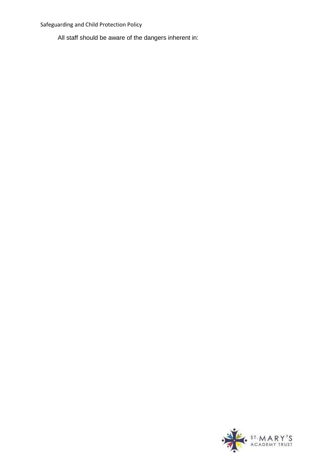All staff should be aware of the dangers inherent in:

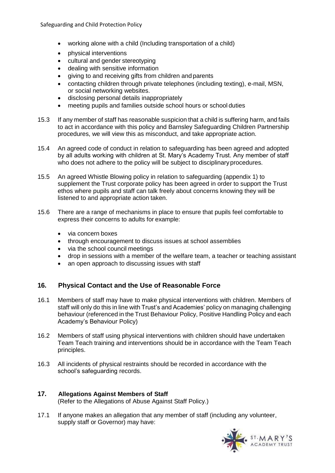- working alone with a child (Including transportation of a child)
- physical interventions
- cultural and gender stereotyping
- dealing with sensitive information
- giving to and receiving gifts from children and parents
- contacting children through private telephones (including texting), e-mail, MSN, or social networking websites.
- disclosing personal details inappropriately
- meeting pupils and families outside school hours or school duties
- 15.3 If any member of staff has reasonable suspicion that a child is suffering harm, and fails to act in accordance with this policy and Barnsley Safeguarding Children Partnership procedures, we will view this as misconduct, and take appropriate action.
- 15.4 An agreed code of conduct in relation to safeguarding has been agreed and adopted by all adults working with children at St. Mary's Academy Trust. Any member of staff who does not adhere to the policy will be subject to disciplinary procedures.
- 15.5 An agreed Whistle Blowing policy in relation to safeguarding (appendix 1) to supplement the Trust corporate policy has been agreed in order to support the Trust ethos where pupils and staff can talk freely about concerns knowing they will be listened to and appropriate action taken.
- 15.6 There are a range of mechanisms in place to ensure that pupils feel comfortable to express their concerns to adults for example:
	- via concern boxes
	- through encouragement to discuss issues at school assemblies
	- via the school council meetings
	- drop in sessions with a member of the welfare team, a teacher or teaching assistant
	- an open approach to discussing issues with staff

# **16. Physical Contact and the Use of Reasonable Force**

- 16.1 Members of staff may have to make physical interventions with children. Members of staff will only do this in line with Trust's and Academies' policy on managing challenging behaviour (referenced in the Trust Behaviour Policy, Positive Handling Policy and each Academy's Behaviour Policy)
- 16.2 Members of staff using physical interventions with children should have undertaken Team Teach training and interventions should be in accordance with the Team Teach principles.
- 16.3 All incidents of physical restraints should be recorded in accordance with the school's safeguarding records.

# **17. Allegations Against Members of Staff**

(Refer to the Allegations of Abuse Against Staff Policy.)

17.1 If anyone makes an allegation that any member of staff (including any volunteer, supply staff or Governor) may have:

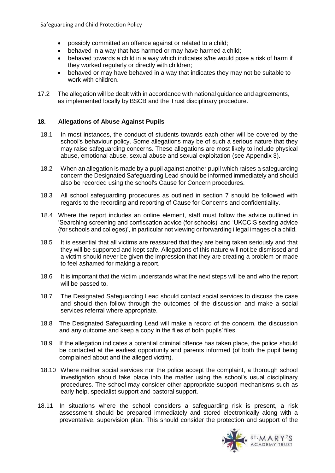- possibly committed an offence against or related to a child;
- behaved in a way that has harmed or may have harmed a child;
- behaved towards a child in a way which indicates s/he would pose a risk of harm if they worked regularly or directly with children;
- behaved or may have behaved in a way that indicates they may not be suitable to work with children.
- 17.2 The allegation will be dealt with in accordance with national guidance and agreements, as implemented locally by BSCB and the Trust disciplinary procedure.

#### **18. Allegations of Abuse Against Pupils**

- 18.1 In most instances, the conduct of students towards each other will be covered by the school's behaviour policy. Some allegations may be of such a serious nature that they may raise safeguarding concerns. These allegations are most likely to include physical abuse, emotional abuse, sexual abuse and sexual exploitation (see Appendix 3).
- 18.2 When an allegation is made by a pupil against another pupil which raises a safeguarding concern the Designated Safeguarding Lead should be informed immediately and should also be recorded using the school's Cause for Concern procedures.
- 18.3 All school safeguarding procedures as outlined in section 7 should be followed with regards to the recording and reporting of Cause for Concerns and confidentiality.
- 18.4 Where the report includes an online element, staff must follow the advice outlined in 'Searching screening and confiscation advice (for schools)' and 'UKCCIS sexting advice (for schools and colleges)', in particular not viewing or forwarding illegal images of a child.
- 18.5 It is essential that all victims are reassured that they are being taken seriously and that they will be supported and kept safe. Allegations of this nature will not be dismissed and a victim should never be given the impression that they are creating a problem or made to feel ashamed for making a report.
- 18.6 It is important that the victim understands what the next steps will be and who the report will be passed to.
- 18.7 The Designated Safeguarding Lead should contact social services to discuss the case and should then follow through the outcomes of the discussion and make a social services referral where appropriate.
- 18.8 The Designated Safeguarding Lead will make a record of the concern, the discussion and any outcome and keep a copy in the files of both pupils' files.
- 18.9 If the allegation indicates a potential criminal offence has taken place, the police should be contacted at the earliest opportunity and parents informed (of both the pupil being complained about and the alleged victim).
- 18.10 Where neither social services nor the police accept the complaint, a thorough school investigation should take place into the matter using the school's usual disciplinary procedures. The school may consider other appropriate support mechanisms such as early help, specialist support and pastoral support.
- 18.11 In situations where the school considers a safeguarding risk is present, a risk assessment should be prepared immediately and stored electronically along with a preventative, supervision plan. This should consider the protection and support of the

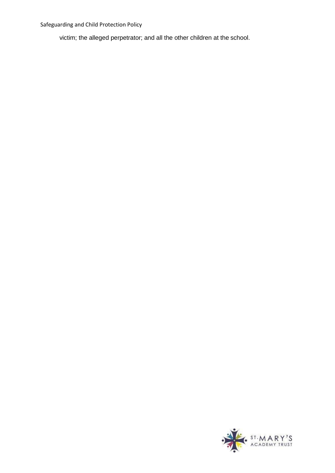victim; the alleged perpetrator; and all the other children at the school.

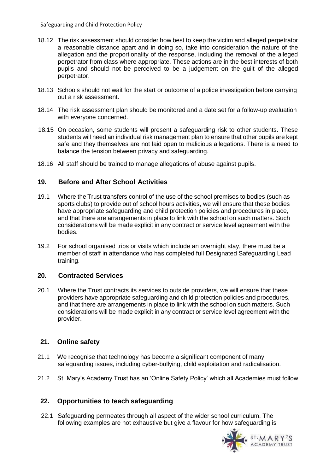- 18.12 The risk assessment should consider how best to keep the victim and alleged perpetrator a reasonable distance apart and in doing so, take into consideration the nature of the allegation and the proportionality of the response, including the removal of the alleged perpetrator from class where appropriate. These actions are in the best interests of both pupils and should not be perceived to be a judgement on the guilt of the alleged perpetrator.
- 18.13 Schools should not wait for the start or outcome of a police investigation before carrying out a risk assessment.
- 18.14 The risk assessment plan should be monitored and a date set for a follow-up evaluation with everyone concerned.
- 18.15 On occasion, some students will present a safeguarding risk to other students. These students will need an individual risk management plan to ensure that other pupils are kept safe and they themselves are not laid open to malicious allegations. There is a need to balance the tension between privacy and safeguarding.
- 18.16 All staff should be trained to manage allegations of abuse against pupils.

# **19. Before and After School Activities**

- 19.1 Where the Trust transfers control of the use of the school premises to bodies (such as sports clubs) to provide out of school hours activities, we will ensure that these bodies have appropriate safeguarding and child protection policies and procedures in place, and that there are arrangements in place to link with the school on such matters. Such considerations will be made explicit in any contract or service level agreement with the bodies.
- 19.2 For school organised trips or visits which include an overnight stay, there must be a member of staff in attendance who has completed full Designated Safeguarding Lead training.

## **20. Contracted Services**

20.1 Where the Trust contracts its services to outside providers, we will ensure that these providers have appropriate safeguarding and child protection policies and procedures, and that there are arrangements in place to link with the school on such matters. Such considerations will be made explicit in any contract or service level agreement with the provider.

# **21. Online safety**

- 21.1 We recognise that technology has become a significant component of many safeguarding issues, including cyber-bullying, child exploitation and radicalisation.
- 21.2 St. Mary's Academy Trust has an 'Online Safety Policy' which all Academies must follow.

## **22. Opportunities to teach safeguarding**

22.1 Safeguarding permeates through all aspect of the wider school curriculum. The following examples are not exhaustive but give a flavour for how safeguarding is

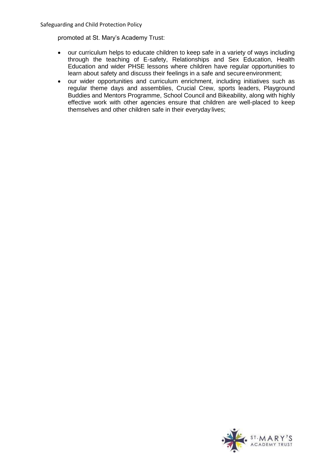promoted at St. Mary's Academy Trust:

- our curriculum helps to educate children to keep safe in a variety of ways including through the teaching of E-safety, Relationships and Sex Education, Health Education and wider PHSE lessons where children have regular opportunities to learn about safety and discuss their feelings in a safe and secure environment;
- our wider opportunities and curriculum enrichment, including initiatives such as regular theme days and assemblies, Crucial Crew, sports leaders, Playground Buddies and Mentors Programme, School Council and Bikeability, along with highly effective work with other agencies ensure that children are well-placed to keep themselves and other children safe in their everyday lives;

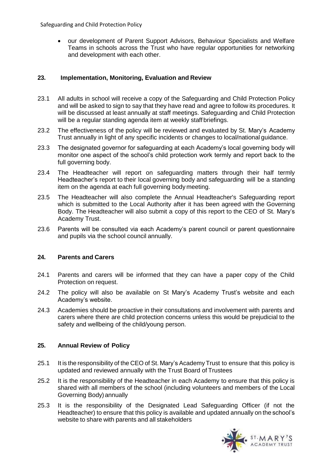• our development of Parent Support Advisors, Behaviour Specialists and Welfare Teams in schools across the Trust who have regular opportunities for networking and development with each other.

# **23. Implementation, Monitoring, Evaluation and Review**

- 23.1 All adults in school will receive a copy of the Safeguarding and Child Protection Policy and will be asked to sign to say that they have read and agree to follow its procedures. It will be discussed at least annually at staff meetings. Safeguarding and Child Protection will be a regular standing agenda item at weekly staff briefings.
- 23.2 The effectiveness of the policy will be reviewed and evaluated by St. Mary's Academy Trust annually in light of any specific incidents or changes to local/national guidance.
- 23.3 The designated governor for safeguarding at each Academy's local governing body will monitor one aspect of the school's child protection work termly and report back to the full governing body.
- 23.4 The Headteacher will report on safeguarding matters through their half termly Headteacher's report to their local governing body and safeguarding will be a standing item on the agenda at each full governing body meeting.
- 23.5 The Headteacher will also complete the Annual Headteacher's Safeguarding report which is submitted to the Local Authority after it has been agreed with the Governing Body. The Headteacher will also submit a copy of this report to the CEO of St. Mary's Academy Trust.
- 23.6 Parents will be consulted via each Academy's parent council or parent questionnaire and pupils via the school council annually.

## **24. Parents and Carers**

- 24.1 Parents and carers will be informed that they can have a paper copy of the Child Protection on request.
- 24.2 The policy will also be available on St Mary's Academy Trust's website and each Academy's website.
- 24.3 Academies should be proactive in their consultations and involvement with parents and carers where there are child protection concerns unless this would be prejudicial to the safety and wellbeing of the child/young person.

## **25. Annual Review of Policy**

- 25.1 It is the responsibility of the CEO of St. Mary's Academy Trust to ensure that this policy is updated and reviewed annually with the Trust Board of Trustees
- 25.2 It is the responsibility of the Headteacher in each Academy to ensure that this policy is shared with all members of the school (including volunteers and members of the Local Governing Body)annually
- 25.3 It is the responsibility of the Designated Lead Safeguarding Officer (if not the Headteacher) to ensure that this policy is available and updated annually on the school's website to share with parents and all stakeholders

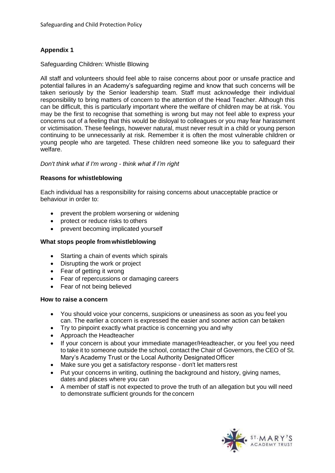# **Appendix 1**

## Safeguarding Children: Whistle Blowing

All staff and volunteers should feel able to raise concerns about poor or unsafe practice and potential failures in an Academy's safeguarding regime and know that such concerns will be taken seriously by the Senior leadership team. Staff must acknowledge their individual responsibility to bring matters of concern to the attention of the Head Teacher. Although this can be difficult, this is particularly important where the welfare of children may be at risk. You may be the first to recognise that something is wrong but may not feel able to express your concerns out of a feeling that this would be disloyal to colleagues or you may fear harassment or victimisation. These feelings, however natural, must never result in a child or young person continuing to be unnecessarily at risk. Remember it is often the most vulnerable children or young people who are targeted. These children need someone like you to safeguard their welfare.

## *Don't think what if I'm wrong - think what if I'm right*

#### **Reasons for whistleblowing**

Each individual has a responsibility for raising concerns about unacceptable practice or behaviour in order to:

- prevent the problem worsening or widening
- protect or reduce risks to others
- prevent becoming implicated yourself

#### **What stops people fromwhistleblowing**

- Starting a chain of events which spirals
- Disrupting the work or project
- Fear of getting it wrong
- Fear of repercussions or damaging careers
- Fear of not being believed

#### **How to raise a concern**

- You should voice your concerns, suspicions or uneasiness as soon as you feel you can. The earlier a concern is expressed the easier and sooner action can betaken
- Try to pinpoint exactly what practice is concerning you and why
- Approach the Headteacher
- If your concern is about your immediate manager/Headteacher, or you feel you need to take it to someone outside the school, contact the Chair of Governors, the CEO of St. Mary's Academy Trust or the Local Authority DesignatedOfficer
- Make sure you get a satisfactory response don't let matters rest
- Put your concerns in writing, outlining the background and history, giving names, dates and places where you can
- A member of staff is not expected to prove the truth of an allegation but you will need to demonstrate sufficient grounds for the concern

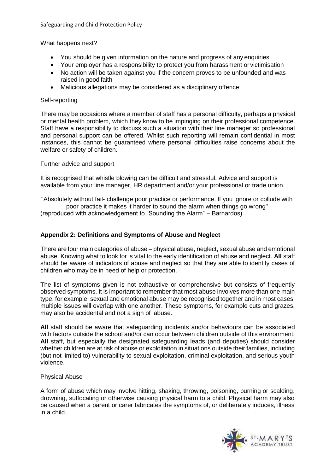What happens next?

- You should be given information on the nature and progress of any enquiries
- Your employer has a responsibility to protect you from harassment or victimisation
- No action will be taken against you if the concern proves to be unfounded and was raised in good faith
- Malicious allegations may be considered as a disciplinary offence

### Self-reporting

There may be occasions where a member of staff has a personal difficulty, perhaps a physical or mental health problem, which they know to be impinging on their professional competence. Staff have a responsibility to discuss such a situation with their line manager so professional and personal support can be offered. Whilst such reporting will remain confidential in most instances, this cannot be guaranteed where personal difficulties raise concerns about the welfare or safety of children.

Further advice and support

It is recognised that whistle blowing can be difficult and stressful. Advice and support is available from your line manager, HR department and/or your professional or trade union.

"Absolutely without fail- challenge poor practice or performance. If you ignore or collude with poor practice it makes it harder to sound the alarm when things go wrong" (reproduced with acknowledgement to "Sounding the Alarm" – Barnardos)

## **Appendix 2: Definitions and Symptoms of Abuse and Neglect**

There are four main categories of abuse – physical abuse, neglect, sexual abuse and emotional abuse. Knowing what to look for is vital to the early identification of abuse and neglect. **All** staff should be aware of indicators of abuse and neglect so that they are able to identify cases of children who may be in need of help or protection.

The list of symptoms given is not exhaustive or comprehensive but consists of frequently observed symptoms. It is important to remember that most abuse involves more than one main type, for example, sexual and emotional abuse may be recognised together and in most cases, multiple issues will overlap with one another. These symptoms, for example cuts and grazes, may also be accidental and not a sign of abuse.

**All** staff should be aware that safeguarding incidents and/or behaviours can be associated with factors outside the school and/or can occur between children outside of this environment. **All** staff, but especially the designated safeguarding leads (and deputies) should consider whether children are at risk of abuse or exploitation in situations outside their families, including (but not limited to) vulnerability to sexual exploitation, criminal exploitation, and serious youth violence.

#### Physical Abuse

A form of abuse which may involve hitting, shaking, throwing, poisoning, burning or scalding, drowning, suffocating or otherwise causing physical harm to a child. Physical harm may also be caused when a parent or carer fabricates the symptoms of, or deliberately induces, illness in a child.

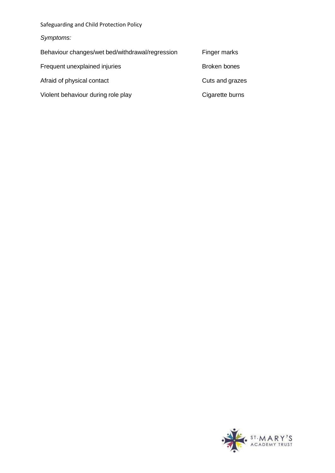| Safeguarding and Child Protection Policy        |                 |
|-------------------------------------------------|-----------------|
| Symptoms:                                       |                 |
| Behaviour changes/wet bed/withdrawal/regression | Finger marks    |
| Frequent unexplained injuries                   | Broken bones    |
| Afraid of physical contact                      | Cuts and grazes |
| Violent behaviour during role play              | Cigarette burns |
|                                                 |                 |

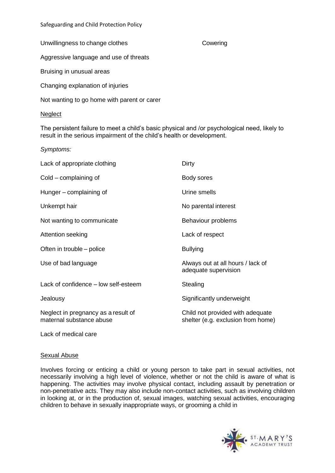Unwillingness to change clothes **Cowering** 

Aggressive language and use of threats

Bruising in unusual areas

Changing explanation of injuries

Not wanting to go home with parent or carer

## **Neglect**

The persistent failure to meet a child's basic physical and /or psychological need, likely to result in the serious impairment of the child's health or development.

*Symptoms:*

| Lack of appropriate clothing                                    | Dirty                                                                  |
|-----------------------------------------------------------------|------------------------------------------------------------------------|
| Cold – complaining of                                           | Body sores                                                             |
| Hunger – complaining of                                         | Urine smells                                                           |
| Unkempt hair                                                    | No parental interest                                                   |
| Not wanting to communicate                                      | Behaviour problems                                                     |
| Attention seeking                                               | Lack of respect                                                        |
| Often in trouble – police                                       | <b>Bullying</b>                                                        |
| Use of bad language                                             | Always out at all hours / lack of<br>adequate supervision              |
| Lack of confidence - low self-esteem                            | Stealing                                                               |
| Jealousy                                                        | Significantly underweight                                              |
| Neglect in pregnancy as a result of<br>maternal substance abuse | Child not provided with adequate<br>shelter (e.g. exclusion from home) |
| Lack of medical care                                            |                                                                        |

# Sexual Abuse

Involves forcing or enticing a child or young person to take part in sexual activities, not necessarily involving a high level of violence, whether or not the child is aware of what is happening. The activities may involve physical contact, including assault by penetration or non-penetrative acts. They may also include non-contact activities, such as involving children in looking at, or in the production of, sexual images, watching sexual activities, encouraging children to behave in sexually inappropriate ways, or grooming a child in

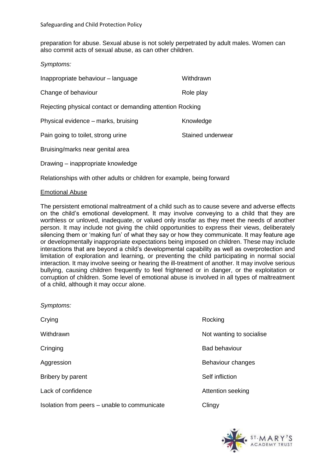preparation for abuse. Sexual abuse is not solely perpetrated by adult males. Women can also commit acts of sexual abuse, as can other children.

*Symptoms:*

| Inappropriate behaviour - language                        | Withdrawn         |  |
|-----------------------------------------------------------|-------------------|--|
| Change of behaviour                                       | Role play         |  |
| Rejecting physical contact or demanding attention Rocking |                   |  |
| Physical evidence – marks, bruising                       | Knowledge         |  |
| Pain going to toilet, strong urine                        | Stained underwear |  |
| Bruising/marks near genital area                          |                   |  |
| Drawing – inappropriate knowledge                         |                   |  |

Relationships with other adults or children for example, being forward

## Emotional Abuse

*Symptoms:*

The persistent emotional maltreatment of a child such as to cause severe and adverse effects on the child's emotional development. It may involve conveying to a child that they are worthless or unloved, inadequate, or valued only insofar as they meet the needs of another person. It may include not giving the child opportunities to express their views, deliberately silencing them or 'making fun' of what they say or how they communicate. It may feature age or developmentally inappropriate expectations being imposed on children. These may include interactions that are beyond a child's developmental capability as well as overprotection and limitation of exploration and learning, or preventing the child participating in normal social interaction. It may involve seeing or hearing the ill-treatment of another. It may involve serious bullying, causing children frequently to feel frightened or in danger, or the exploitation or corruption of children. Some level of emotional abuse is involved in all types of maltreatment of a child, although it may occur alone.

| <i>Symptoms:</i>                             |                          |
|----------------------------------------------|--------------------------|
| Crying                                       | Rocking                  |
| Withdrawn                                    | Not wanting to socialise |
| Cringing                                     | <b>Bad behaviour</b>     |
| Aggression                                   | Behaviour changes        |
| Bribery by parent                            | Self infliction          |
| Lack of confidence                           | Attention seeking        |
| Isolation from peers – unable to communicate | Clingy                   |
|                                              |                          |

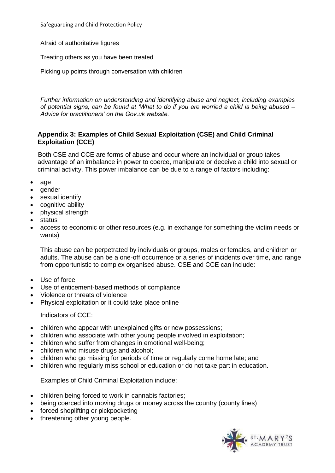Afraid of authoritative figures

Treating others as you have been treated

Picking up points through conversation with children

*Further information on understanding and identifying abuse and neglect, including examples of potential signs, can be found at 'What to do if you are worried a child is being abused – Advice for practitioners' on the Gov.uk website.*

# **Appendix 3: Examples of Child Sexual Exploitation (CSE) and Child Criminal Exploitation (CCE)**

Both CSE and CCE are forms of abuse and occur where an individual or group takes advantage of an imbalance in power to coerce, manipulate or deceive a child into sexual or criminal activity. This power imbalance can be due to a range of factors including:

- age
- gender
- sexual identify
- cognitive ability
- physical strength
- status
- access to economic or other resources (e.g. in exchange for something the victim needs or wants)

This abuse can be perpetrated by individuals or groups, males or females, and children or adults. The abuse can be a one-off occurrence or a series of incidents over time, and range from opportunistic to complex organised abuse. CSE and CCE can include:

- Use of force
- Use of enticement-based methods of compliance
- Violence or threats of violence
- Physical exploitation or it could take place online

## Indicators of CCE:

- children who appear with unexplained gifts or new possessions;
- children who associate with other young people involved in exploitation;
- children who suffer from changes in emotional well-being;
- children who misuse drugs and alcohol;
- children who go missing for periods of time or regularly come home late; and
- children who regularly miss school or education or do not take part in education.

Examples of Child Criminal Exploitation include:

- children being forced to work in cannabis factories;
- being coerced into moving drugs or money across the country (county lines)
- forced shoplifting or pickpocketing
- threatening other young people.

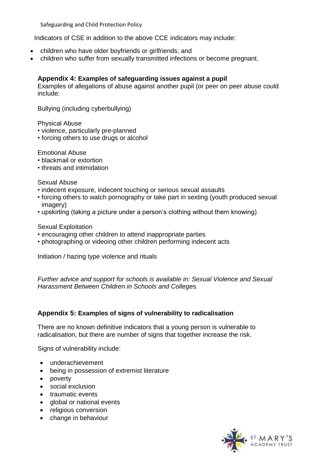Indicators of CSE in addition to the above CCE indicators may include:

- children who have older boyfriends or girlfriends; and
- children who suffer from sexually transmitted infections or become pregnant.

# **Appendix 4: Examples of safeguarding issues against a pupil**

Examples of allegations of abuse against another pupil (or peer on peer abuse could include:

Bullying (including cyberbullying)

Physical Abuse

- violence, particularly pre-planned
- forcing others to use drugs or alcohol

Emotional Abuse

- blackmail or extortion
- threats and intimidation

Sexual Abuse

- indecent exposure, indecent touching or serious sexual assaults
- forcing others to watch pornography or take part in sexting (youth produced sexual imagery)
- upskirting (taking a picture under a person's clothing without them knowing)

Sexual Exploitation

- encouraging other children to attend inappropriate parties
- photographing or videoing other children performing indecent acts

Initiation / hazing type violence and rituals

*Further advice and support for schools is available in: Sexual Violence and Sexual Harassment Between Children in Schools and Colleges.*

## **Appendix 5: Examples of signs of vulnerability to radicalisation**

There are no known definitive indicators that a young person is vulnerable to radicalisation, but there are number of signs that together increase the risk.

Signs of vulnerability include:

- underachievement
- being in possession of extremist literature
- poverty
- social exclusion
- traumatic events
- global or national events
- religious conversion
- change in behaviour

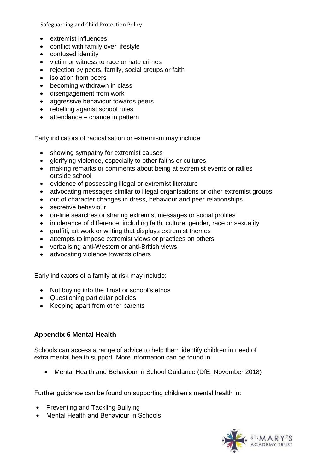- extremist influences
- conflict with family over lifestyle
- confused identity
- victim or witness to race or hate crimes
- rejection by peers, family, social groups or faith
- isolation from peers
- becoming withdrawn in class
- disengagement from work
- aggressive behaviour towards peers
- rebelling against school rules
- attendance change in pattern

Early indicators of radicalisation or extremism may include:

- showing sympathy for extremist causes
- glorifying violence, especially to other faiths or cultures
- making remarks or comments about being at extremist events or rallies outside school
- evidence of possessing illegal or extremist literature
- advocating messages similar to illegal organisations or other extremist groups
- out of character changes in dress, behaviour and peer relationships
- secretive behaviour
- on-line searches or sharing extremist messages or social profiles
- intolerance of difference, including faith, culture, gender, race or sexuality
- graffiti, art work or writing that displays extremist themes
- attempts to impose extremist views or practices on others
- verbalising anti-Western or anti-British views
- advocating violence towards others

Early indicators of a family at risk may include:

- Not buying into the Trust or school's ethos
- Questioning particular policies
- Keeping apart from other parents

# **Appendix 6 Mental Health**

Schools can access a range of advice to help them identify children in need of extra mental health support. More information can be found in:

• Mental Health and Behaviour in School Guidance (DfE, November 2018)

Further guidance can be found on supporting children's mental health in:

- Preventing and Tackling Bullying
- Mental Health and Behaviour in Schools

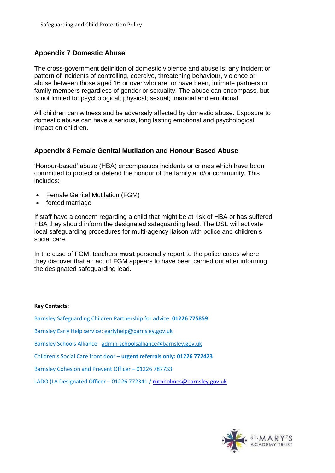# **Appendix 7 Domestic Abuse**

The cross-government definition of domestic violence and abuse is: any incident or pattern of incidents of controlling, coercive, threatening behaviour, violence or abuse between those aged 16 or over who are, or have been, intimate partners or family members regardless of gender or sexuality. The abuse can encompass, but is not limited to: psychological; physical; sexual; financial and emotional.

All children can witness and be adversely affected by domestic abuse. Exposure to domestic abuse can have a serious, long lasting emotional and psychological impact on children.

## **Appendix 8 Female Genital Mutilation and Honour Based Abuse**

'Honour-based' abuse (HBA) encompasses incidents or crimes which have been committed to protect or defend the honour of the family and/or community. This includes:

- Female Genital Mutilation (FGM)
- forced marriage

If staff have a concern regarding a child that might be at risk of HBA or has suffered HBA they should inform the designated safeguarding lead. The DSL will activate local safeguarding procedures for multi-agency liaison with police and children's social care.

In the case of FGM, teachers **must** personally report to the police cases where they discover that an act of FGM appears to have been carried out after informing the designated safeguarding lead.

#### **Key Contacts:**

Barnsley Safeguarding Children Partnership for advice: **01226 775859**

Barnsley Early Help service: [earlyhelp@barnsley.gov.uk](mailto:earlyhelp@barnsley.gov.uk)

Barnsley Schools Alliance: [admin-schoolsalliance@barnsley.gov.uk](mailto:admin-schoolsalliance@barnsley.gov.uk) 

Children's Social Care front door – **urgent referrals only: 01226 772423**

Barnsley Cohesion and Prevent Officer – 01226 787733

LADO (LA Designated Officer – 01226 772341 / [ruthholmes@barnsley.gov.uk](mailto:ruthholmes@barnsley.gov.uk)

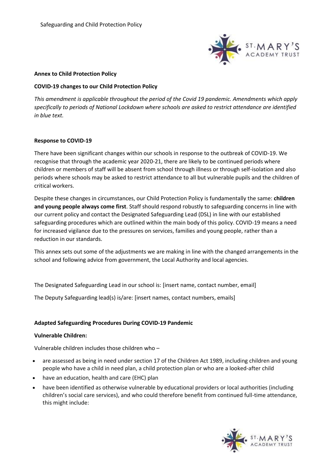

#### **Annex to Child Protection Policy**

#### **COVID-19 changes to our Child Protection Policy**

*This amendment is applicable throughout the period of the Covid 19 pandemic. Amendments which apply specifically to periods of National Lockdown where schools are asked to restrict attendance are identified in blue text.* 

## **Response to COVID-19**

There have been significant changes within our schools in response to the outbreak of COVID-19. We recognise that through the academic year 2020-21, there are likely to be continued periods where children or members of staff will be absent from school through illness or through self-isolation and also periods where schools may be asked to restrict attendance to all but vulnerable pupils and the children of critical workers.

Despite these changes in circumstances, our Child Protection Policy is fundamentally the same: **children and young people always come first**. Staff should respond robustly to safeguarding concerns in line with our current policy and contact the Designated Safeguarding Lead (DSL) in line with our established safeguarding procedures which are outlined within the main body of this policy. COVID-19 means a need for increased vigilance due to the pressures on services, families and young people, rather than a reduction in our standards.

This annex sets out some of the adjustments we are making in line with the changed arrangements in the school and following advice from government, the Local Authority and local agencies.

The Designated Safeguarding Lead in our school is: [insert name, contact number, email]

The Deputy Safeguarding lead(s) is/are: [insert names, contact numbers, emails]

## **Adapted Safeguarding Procedures During COVID-19 Pandemic**

#### **Vulnerable Children:**

Vulnerable children includes those children who –

- are assessed as being in need under section 17 of the Children Act 1989, including children and young people who have a child in need plan, a child protection plan or who are a looked-after child
- have an education, health and care (EHC) plan
- have been identified as otherwise vulnerable by educational providers or local authorities (including children's social care services), and who could therefore benefit from continued full-time attendance, this might include:

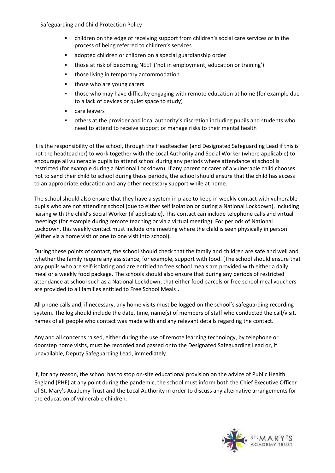- children on the edge of receiving support from children's social care services or in the process of being referred to children's services
- adopted children or children on a special guardianship order
- those at risk of becoming NEET ('not in employment, education or training')
- those living in temporary accommodation
- those who are young carers
- those who may have difficulty engaging with remote education at home (for example due to a lack of devices or quiet space to study)
- care leavers
- others at the provider and local authority's discretion including pupils and students who need to attend to receive support or manage risks to their mental health

It is the responsibility of the school, through the Headteacher (and Designated Safeguarding Lead if this is not the headteacher) to work together with the Local Authority and Social Worker (where applicable) to encourage all vulnerable pupils to attend school during any periods where attendance at school is restricted (for example during a National Lockdown). If any parent or carer of a vulnerable child chooses not to send their child to school during these periods, the school should ensure that the child has access to an appropriate education and any other necessary support while at home.

The school should also ensure that they have a system in place to keep in weekly contact with vulnerable pupils who are not attending school (due to either self isolation or during a National Lockdown), including liaising with the child's Social Worker (if applicable). This contact can include telephone calls and virtual meetings (for example during remote teaching or via a virtual meeting). For periods of National Lockdown, this weekly contact must include one meeting where the child is seen physically in person (either via a home visit or one to one visit into school).

During these points of contact, the school should check that the family and children are safe and well and whether the family require any assistance, for example, support with food. [The school should ensure that any pupils who are self-isolating and are entitled to free school meals are provided with either a daily meal or a weekly food package. The schools should also ensure that during any periods of restricted attendance at school such as a National Lockdown, that either food parcels or free school meal vouchers are provided to all families entitled to Free School Meals].

All phone calls and, if necessary, any home visits must be logged on the school's safeguarding recording system. The log should include the date, time, name(s) of members of staff who conducted the call/visit, names of all people who contact was made with and any relevant details regarding the contact.

Any and all concerns raised, either during the use of remote learning technology, by telephone or doorstep home visits, must be recorded and passed onto the Designated Safeguarding Lead or, if unavailable, Deputy Safeguarding Lead, immediately.

If, for any reason, the school has to stop on-site educational provision on the advice of Public Health England (PHE) at any point during the pandemic, the school must inform both the Chief Executive Officer of St. Mary's Academy Trust and the Local Authority in order to discuss any alternative arrangements for the education of vulnerable children.

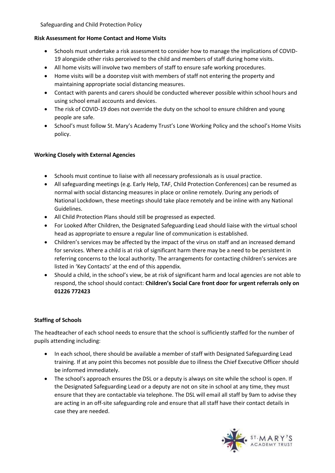# **Risk Assessment for Home Contact and Home Visits**

- Schools must undertake a risk assessment to consider how to manage the implications of COVID-19 alongside other risks perceived to the child and members of staff during home visits.
- All home visits will involve two members of staff to ensure safe working procedures.
- Home visits will be a doorstep visit with members of staff not entering the property and maintaining appropriate social distancing measures.
- Contact with parents and carers should be conducted wherever possible within school hours and using school email accounts and devices.
- The risk of COVID-19 does not override the duty on the school to ensure children and young people are safe.
- School's must follow St. Mary's Academy Trust's Lone Working Policy and the school's Home Visits policy.

# **Working Closely with External Agencies**

- Schools must continue to liaise with all necessary professionals as is usual practice.
- All safeguarding meetings (e.g. Early Help, TAF, Child Protection Conferences) can be resumed as normal with social distancing measures in place or online remotely. During any periods of National Lockdown, these meetings should take place remotely and be inline with any National Guidelines.
- All Child Protection Plans should still be progressed as expected.
- For Looked After Children, the Designated Safeguarding Lead should liaise with the virtual school head as appropriate to ensure a regular line of communication is established.
- Children's services may be affected by the impact of the virus on staff and an increased demand for services. Where a child is at risk of significant harm there may be a need to be persistent in referring concerns to the local authority. The arrangements for contacting children's services are listed in 'Key Contacts' at the end of this appendix.
- Should a child, in the school's view, be at risk of significant harm and local agencies are not able to respond, the school should contact: **Children's Social Care front door for urgent referrals only on 01226 772423**

# **Staffing of Schools**

The headteacher of each school needs to ensure that the school is sufficiently staffed for the number of pupils attending including:

- In each school, there should be available a member of staff with Designated Safeguarding Lead training. If at any point this becomes not possible due to illness the Chief Executive Officer should be informed immediately.
- The school's approach ensures the DSL or a deputy is always on site while the school is open. If the Designated Safeguarding Lead or a deputy are not on site in school at any time, they must ensure that they are contactable via telephone. The DSL will email all staff by 9am to advise they are acting in an off-site safeguarding role and ensure that all staff have their contact details in case they are needed.

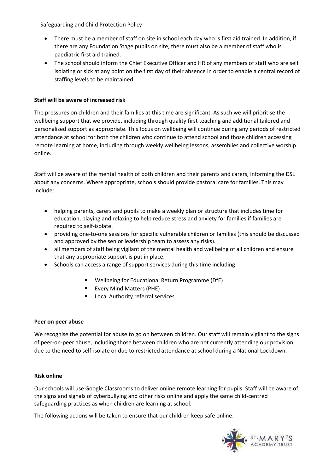- There must be a member of staff on site in school each day who is first aid trained. In addition, if there are any Foundation Stage pupils on site, there must also be a member of staff who is paediatric first aid trained.
- The school should inform the Chief Executive Officer and HR of any members of staff who are self isolating or sick at any point on the first day of their absence in order to enable a central record of staffing levels to be maintained.

## **Staff will be aware of increased risk**

The pressures on children and their families at this time are significant. As such we will prioritise the wellbeing support that we provide, including through quality first teaching and additional tailored and personalised support as appropriate. This focus on wellbeing will continue during any periods of restricted attendance at school for both the children who continue to attend school and those children accessing remote learning at home, including through weekly wellbeing lessons, assemblies and collective worship online.

Staff will be aware of the mental health of both children and their parents and carers, informing the DSL about any concerns. Where appropriate, schools should provide pastoral care for families. This may include:

- helping parents, carers and pupils to make a weekly plan or structure that includes time for education, playing and relaxing to help reduce stress and anxiety for families if families are required to self-isolate.
- providing one-to-one sessions for specific vulnerable children or families (this should be discussed and approved by the senior leadership team to assess any risks).
- all members of staff being vigilant of the mental health and wellbeing of all children and ensure that any appropriate support is put in place.
- Schools can access a range of support services during this time including:
	- Wellbeing for Educational Return Programme (DfE)
	- Every Mind Matters (PHE)
	- Local Authority referral services

## **Peer on peer abuse**

We recognise the potential for abuse to go on between children. Our staff will remain vigilant to the signs of peer-on-peer abuse, including those between children who are not currently attending our provision due to the need to self-isolate or due to restricted attendance at school during a National Lockdown.

#### **Risk online**

Our schools will use Google Classrooms to deliver online remote learning for pupils. Staff will be aware of the signs and signals of cyberbullying and other risks online and apply the same child-centred safeguarding practices as when children are learning at school.

The following actions will be taken to ensure that our children keep safe online:

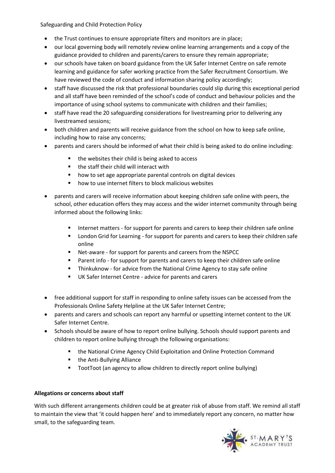- the Trust continues to ensure appropriate filters and monitors are in place;
- our local governing body will remotely review online learning arrangements and a copy of the guidance provided to children and parents/carers to ensure they remain appropriate;
- our schools have taken on board guidance from the UK Safer Internet Centre on safe remote learning and guidance for safer working practice from the Safer Recruitment Consortium. We have reviewed the code of conduct and information sharing policy accordingly;
- staff have discussed the risk that professional boundaries could slip during this exceptional period and all staff have been reminded of the school's code of conduct and behaviour policies and the importance of using school systems to communicate with children and their families;
- staff have read the 20 safeguarding considerations for livestreaming prior to delivering any livestreamed sessions;
- both children and parents will receive guidance from the school on how to keep safe online, including how to raise any concerns;
- parents and carers should be informed of what their child is being asked to do online including:
	- the websites their child is being asked to access
	- the staff their child will interact with
	- how to set age appropriate parental controls on digital devices
	- how to use internet filters to block malicious websites
- parents and carers will receive information about keeping children safe online with peers, the school, other education offers they may access and the wider internet community through being informed about the following links:
	- **■** Internet matters for support for parents and carers to keep their children safe online
	- London Grid for Learning for support for parents and carers to keep their children safe online
	- Net-aware for support for parents and careers from the NSPCC
	- Parent info for support for parents and carers to keep their children safe online
	- **E** Thinkuknow for advice from the National Crime Agency to stay safe online
	- UK Safer Internet Centre advice for parents and carers
- free additional support for staff in responding to online safety issues can be accessed from the Professionals Online Safety Helpline at the UK Safer Internet Centre;
- parents and carers and schools can report any harmful or upsetting internet content to the UK Safer Internet Centre.
- Schools should be aware of how to report online bullying. Schools should support parents and children to report online bullying through the following organisations:
	- the National Crime Agency Child Exploitation and Online Protection Command
	- the Anti-Bullying Alliance
	- TootToot (an agency to allow children to directly report online bullying)

# **Allegations or concerns about staff**

With such different arrangements children could be at greater risk of abuse from staff. We remind all staff to maintain the view that 'it could happen here' and to immediately report any concern, no matter how small, to the safeguarding team.

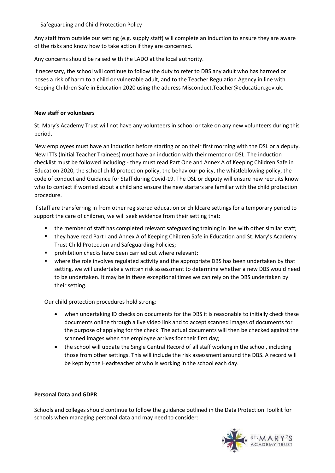Any staff from outside our setting (e.g. supply staff) will complete an induction to ensure they are aware of the risks and know how to take action if they are concerned.

Any concerns should be raised with the LADO at the local authority.

If necessary, the school will continue to follow the duty to refer to DBS any adult who has harmed or poses a risk of harm to a child or vulnerable adult, and to the Teacher Regulation Agency in line with Keeping Children Safe in Education 2020 using the address Misconduct.Teacher@education.gov.uk.

## **New staff or volunteers**

St. Mary's Academy Trust will not have any volunteers in school or take on any new volunteers during this period.

New employees must have an induction before starting or on their first morning with the DSL or a deputy. New ITTs (Initial Teacher Trainees) must have an induction with their mentor or DSL. The induction checklist must be followed including:- they must read Part One and Annex A of Keeping Children Safe in Education 2020, the school child protection policy, the behaviour policy, the whistleblowing policy, the code of conduct and Guidance for Staff during Covid-19. The DSL or deputy will ensure new recruits know who to contact if worried about a child and ensure the new starters are familiar with the child protection procedure.

If staff are transferring in from other registered education or childcare settings for a temporary period to support the care of children, we will seek evidence from their setting that:

- the member of staff has completed relevant safeguarding training in line with other similar staff;
- they have read Part I and Annex A of Keeping Children Safe in Education and St. Mary's Academy Trust Child Protection and Safeguarding Policies;
- prohibition checks have been carried out where relevant;
- **■** where the role involves regulated activity and the appropriate DBS has been undertaken by that setting, we will undertake a written risk assessment to determine whether a new DBS would need to be undertaken. It may be in these exceptional times we can rely on the DBS undertaken by their setting.

Our child protection procedures hold strong:

- when undertaking ID checks on documents for the DBS it is reasonable to initially check these documents online through a live video link and to accept scanned images of documents for the purpose of applying for the check. The actual documents will then be checked against the scanned images when the employee arrives for their first day;
- the school will update the Single Central Record of all staff working in the school, including those from other settings. This will include the risk assessment around the DBS. A record will be kept by the Headteacher of who is working in the school each day.

## **Personal Data and GDPR**

Schools and colleges should continue to follow the guidance outlined in the Data Protection Toolkit for schools when managing personal data and may need to consider: